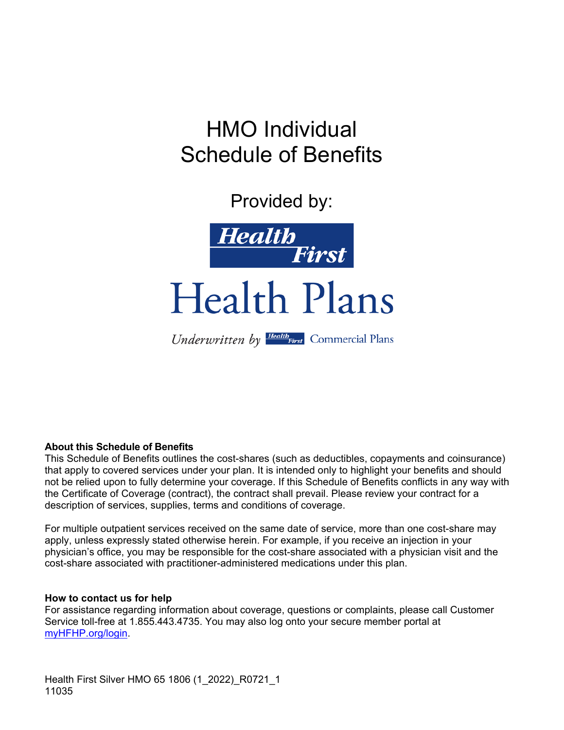# HMO Individual Schedule of Benefits

Provided by:



Health Plans

Underwritten by Health First Commercial Plans

#### **About this Schedule of Benefits**

This Schedule of Benefits outlines the cost-shares (such as deductibles, copayments and coinsurance) that apply to covered services under your plan. It is intended only to highlight your benefits and should not be relied upon to fully determine your coverage. If this Schedule of Benefits conflicts in any way with the Certificate of Coverage (contract), the contract shall prevail. Please review your contract for a description of services, supplies, terms and conditions of coverage.

For multiple outpatient services received on the same date of service, more than one cost-share may apply, unless expressly stated otherwise herein. For example, if you receive an injection in your physician's office, you may be responsible for the cost-share associated with a physician visit and the cost-share associated with practitioner-administered medications under this plan.

#### **How to contact us for help**

For assistance regarding information about coverage, questions or complaints, please call Customer Service toll-free at 1.855.443.4735. You may also log onto your secure member portal at myHFHP.org/login.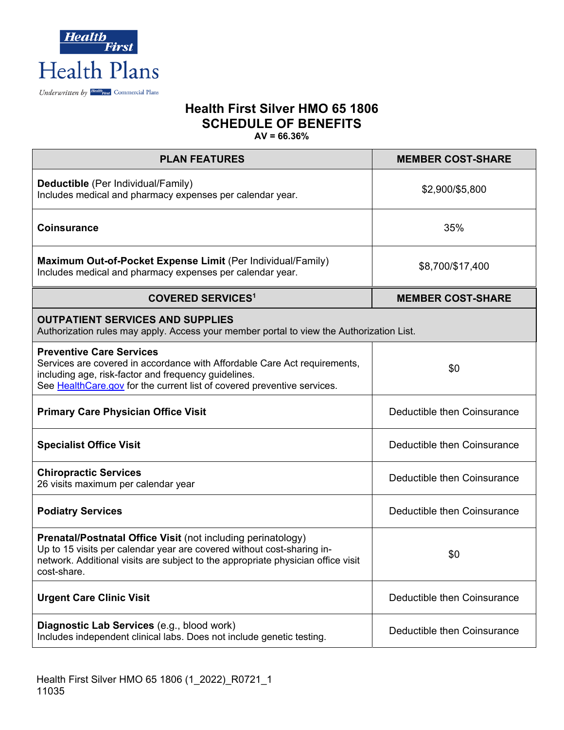

| <b>PLAN FEATURES</b>                                                                                                                                                                                                                             | <b>MEMBER COST-SHARE</b>    |  |  |
|--------------------------------------------------------------------------------------------------------------------------------------------------------------------------------------------------------------------------------------------------|-----------------------------|--|--|
| Deductible (Per Individual/Family)<br>Includes medical and pharmacy expenses per calendar year.                                                                                                                                                  | \$2,900/\$5,800             |  |  |
| <b>Coinsurance</b>                                                                                                                                                                                                                               | 35%                         |  |  |
| Maximum Out-of-Pocket Expense Limit (Per Individual/Family)<br>Includes medical and pharmacy expenses per calendar year.                                                                                                                         | \$8,700/\$17,400            |  |  |
| <b>COVERED SERVICES1</b>                                                                                                                                                                                                                         | <b>MEMBER COST-SHARE</b>    |  |  |
| <b>OUTPATIENT SERVICES AND SUPPLIES</b><br>Authorization rules may apply. Access your member portal to view the Authorization List.                                                                                                              |                             |  |  |
| <b>Preventive Care Services</b><br>Services are covered in accordance with Affordable Care Act requirements,<br>including age, risk-factor and frequency guidelines.<br>See Health Care.gov for the current list of covered preventive services. | \$0                         |  |  |
| <b>Primary Care Physician Office Visit</b>                                                                                                                                                                                                       | Deductible then Coinsurance |  |  |
| <b>Specialist Office Visit</b>                                                                                                                                                                                                                   | Deductible then Coinsurance |  |  |
| <b>Chiropractic Services</b><br>26 visits maximum per calendar year                                                                                                                                                                              | Deductible then Coinsurance |  |  |
| <b>Podiatry Services</b>                                                                                                                                                                                                                         | Deductible then Coinsurance |  |  |
| Prenatal/Postnatal Office Visit (not including perinatology)<br>Up to 15 visits per calendar year are covered without cost-sharing in-<br>network. Additional visits are subject to the appropriate physician office visit<br>cost-share.        | \$0                         |  |  |
| <b>Urgent Care Clinic Visit</b>                                                                                                                                                                                                                  | Deductible then Coinsurance |  |  |
| Diagnostic Lab Services (e.g., blood work)<br>Includes independent clinical labs. Does not include genetic testing.                                                                                                                              | Deductible then Coinsurance |  |  |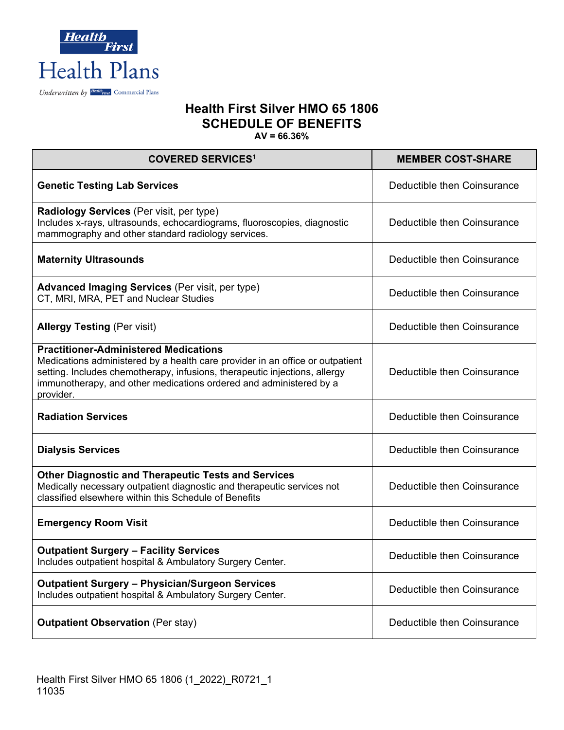

| <b>COVERED SERVICES<sup>1</sup></b>                                                                                                                                                                                                                                                            | <b>MEMBER COST-SHARE</b>    |  |  |
|------------------------------------------------------------------------------------------------------------------------------------------------------------------------------------------------------------------------------------------------------------------------------------------------|-----------------------------|--|--|
| <b>Genetic Testing Lab Services</b>                                                                                                                                                                                                                                                            | Deductible then Coinsurance |  |  |
| Radiology Services (Per visit, per type)<br>Includes x-rays, ultrasounds, echocardiograms, fluoroscopies, diagnostic<br>mammography and other standard radiology services.                                                                                                                     | Deductible then Coinsurance |  |  |
| <b>Maternity Ultrasounds</b>                                                                                                                                                                                                                                                                   | Deductible then Coinsurance |  |  |
| <b>Advanced Imaging Services</b> (Per visit, per type)<br>CT, MRI, MRA, PET and Nuclear Studies                                                                                                                                                                                                | Deductible then Coinsurance |  |  |
| <b>Allergy Testing (Per visit)</b>                                                                                                                                                                                                                                                             | Deductible then Coinsurance |  |  |
| <b>Practitioner-Administered Medications</b><br>Medications administered by a health care provider in an office or outpatient<br>setting. Includes chemotherapy, infusions, therapeutic injections, allergy<br>immunotherapy, and other medications ordered and administered by a<br>provider. | Deductible then Coinsurance |  |  |
| <b>Radiation Services</b>                                                                                                                                                                                                                                                                      | Deductible then Coinsurance |  |  |
| <b>Dialysis Services</b>                                                                                                                                                                                                                                                                       | Deductible then Coinsurance |  |  |
| <b>Other Diagnostic and Therapeutic Tests and Services</b><br>Medically necessary outpatient diagnostic and therapeutic services not<br>classified elsewhere within this Schedule of Benefits                                                                                                  | Deductible then Coinsurance |  |  |
| <b>Emergency Room Visit</b>                                                                                                                                                                                                                                                                    | Deductible then Coinsurance |  |  |
| <b>Outpatient Surgery - Facility Services</b><br>Includes outpatient hospital & Ambulatory Surgery Center.                                                                                                                                                                                     | Deductible then Coinsurance |  |  |
| <b>Outpatient Surgery - Physician/Surgeon Services</b><br>Includes outpatient hospital & Ambulatory Surgery Center.                                                                                                                                                                            | Deductible then Coinsurance |  |  |
| <b>Outpatient Observation (Per stay)</b>                                                                                                                                                                                                                                                       | Deductible then Coinsurance |  |  |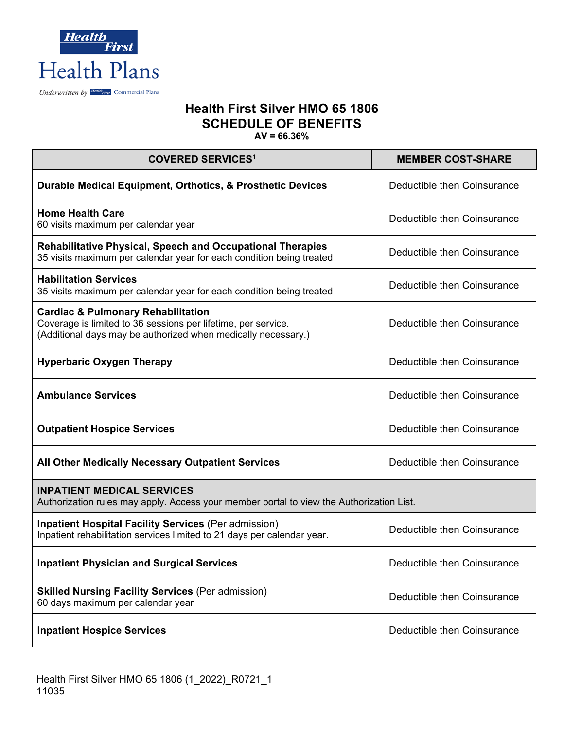

| <b>COVERED SERVICES<sup>1</sup></b>                                                                                                                                             | <b>MEMBER COST-SHARE</b>    |  |  |
|---------------------------------------------------------------------------------------------------------------------------------------------------------------------------------|-----------------------------|--|--|
| Durable Medical Equipment, Orthotics, & Prosthetic Devices                                                                                                                      | Deductible then Coinsurance |  |  |
| <b>Home Health Care</b><br>60 visits maximum per calendar year                                                                                                                  | Deductible then Coinsurance |  |  |
| <b>Rehabilitative Physical, Speech and Occupational Therapies</b><br>35 visits maximum per calendar year for each condition being treated                                       | Deductible then Coinsurance |  |  |
| <b>Habilitation Services</b><br>35 visits maximum per calendar year for each condition being treated                                                                            | Deductible then Coinsurance |  |  |
| <b>Cardiac &amp; Pulmonary Rehabilitation</b><br>Coverage is limited to 36 sessions per lifetime, per service.<br>(Additional days may be authorized when medically necessary.) | Deductible then Coinsurance |  |  |
| <b>Hyperbaric Oxygen Therapy</b>                                                                                                                                                | Deductible then Coinsurance |  |  |
| <b>Ambulance Services</b>                                                                                                                                                       | Deductible then Coinsurance |  |  |
| <b>Outpatient Hospice Services</b>                                                                                                                                              | Deductible then Coinsurance |  |  |
| All Other Medically Necessary Outpatient Services                                                                                                                               | Deductible then Coinsurance |  |  |
| <b>INPATIENT MEDICAL SERVICES</b><br>Authorization rules may apply. Access your member portal to view the Authorization List.                                                   |                             |  |  |
| <b>Inpatient Hospital Facility Services (Per admission)</b><br>Inpatient rehabilitation services limited to 21 days per calendar year.                                          | Deductible then Coinsurance |  |  |
| <b>Inpatient Physician and Surgical Services</b>                                                                                                                                | Deductible then Coinsurance |  |  |
| <b>Skilled Nursing Facility Services (Per admission)</b><br>60 days maximum per calendar year                                                                                   | Deductible then Coinsurance |  |  |
| <b>Inpatient Hospice Services</b>                                                                                                                                               | Deductible then Coinsurance |  |  |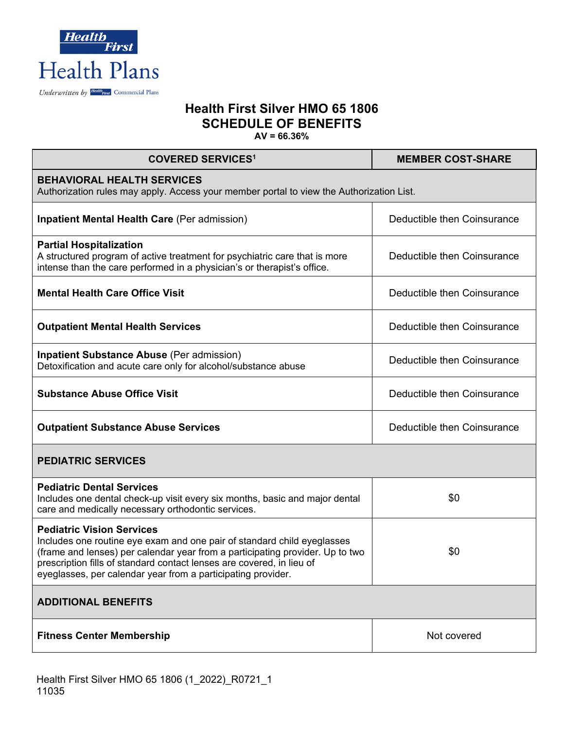

| <b>COVERED SERVICES<sup>1</sup></b>                                                                                                                                                                                                                                                                                                   | <b>MEMBER COST-SHARE</b>    |  |  |  |
|---------------------------------------------------------------------------------------------------------------------------------------------------------------------------------------------------------------------------------------------------------------------------------------------------------------------------------------|-----------------------------|--|--|--|
| <b>BEHAVIORAL HEALTH SERVICES</b><br>Authorization rules may apply. Access your member portal to view the Authorization List.                                                                                                                                                                                                         |                             |  |  |  |
| <b>Inpatient Mental Health Care (Per admission)</b>                                                                                                                                                                                                                                                                                   | Deductible then Coinsurance |  |  |  |
| <b>Partial Hospitalization</b><br>A structured program of active treatment for psychiatric care that is more<br>intense than the care performed in a physician's or therapist's office.                                                                                                                                               | Deductible then Coinsurance |  |  |  |
| <b>Mental Health Care Office Visit</b>                                                                                                                                                                                                                                                                                                | Deductible then Coinsurance |  |  |  |
| <b>Outpatient Mental Health Services</b>                                                                                                                                                                                                                                                                                              | Deductible then Coinsurance |  |  |  |
| <b>Inpatient Substance Abuse (Per admission)</b><br>Detoxification and acute care only for alcohol/substance abuse                                                                                                                                                                                                                    | Deductible then Coinsurance |  |  |  |
| <b>Substance Abuse Office Visit</b>                                                                                                                                                                                                                                                                                                   | Deductible then Coinsurance |  |  |  |
| <b>Outpatient Substance Abuse Services</b>                                                                                                                                                                                                                                                                                            | Deductible then Coinsurance |  |  |  |
| <b>PEDIATRIC SERVICES</b>                                                                                                                                                                                                                                                                                                             |                             |  |  |  |
| <b>Pediatric Dental Services</b><br>Includes one dental check-up visit every six months, basic and major dental<br>care and medically necessary orthodontic services.                                                                                                                                                                 | \$0                         |  |  |  |
| <b>Pediatric Vision Services</b><br>Includes one routine eye exam and one pair of standard child eyeglasses<br>(frame and lenses) per calendar year from a participating provider. Up to two<br>prescription fills of standard contact lenses are covered, in lieu of<br>eyeglasses, per calendar year from a participating provider. | \$0                         |  |  |  |
| <b>ADDITIONAL BENEFITS</b>                                                                                                                                                                                                                                                                                                            |                             |  |  |  |
| <b>Fitness Center Membership</b>                                                                                                                                                                                                                                                                                                      | Not covered                 |  |  |  |